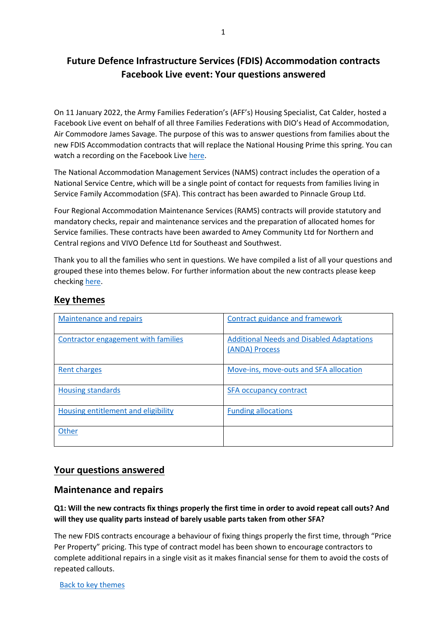# **Future Defence Infrastructure Services (FDIS) Accommodation contracts Facebook Live event: Your questions answered**

On 11 January 2022, the Army Families Federation's (AFF's) Housing Specialist, Cat Calder, hosted a Facebook Live event on behalf of all three Families Federations with DIO's Head of Accommodation, Air Commodore James Savage. The purpose of this was to answer questions from families about the new FDIS Accommodation contracts that will replace the National Housing Prime this spring. You can watch a recording on the Facebook Liv[e here.](https://gbr01.safelinks.protection.outlook.com/?url=https%3A%2F%2Ffb.me%2Fe%2F2LgGSI5CW&data=04%7C01%7CCaroline.Mayne101%40mod.gov.uk%7C439892dcd9144990d98908d9d5afe573%7Cbe7760ed5953484bae95d0a16dfa09e5%7C0%7C0%7C637775773701236599%7CUnknown%7CTWFpbGZsb3d8eyJWIjoiMC4wLjAwMDAiLCJQIjoiV2luMzIiLCJBTiI6Ik1haWwiLCJXVCI6Mn0%3D%7C3000&sdata=FaH3fwH0KJn%2BCmk8GBoXXWiEKqR%2FwJfVe6DFsDyA4Is%3D&reserved=0)

The National Accommodation Management Services (NAMS) contract includes the operation of a National Service Centre, which will be a single point of contact for requests from families living in Service Family Accommodation (SFA). This contract has been awarded to Pinnacle Group Ltd.

Four Regional Accommodation Maintenance Services (RAMS) contracts will provide statutory and mandatory checks, repair and maintenance services and the preparation of allocated homes for Service families. These contracts have been awarded to Amey Community Ltd for Northern and Central regions and VIVO Defence Ltd for Southeast and Southwest.

Thank you to all the families who sent in questions. We have compiled a list of all your questions and grouped these into themes below. For further information about the new contracts please keep checkin[g here.](https://www.gov.uk/guidance/defence-infrastructure-organisation-service-family-accommodation#future-defence-infrastructure-services-fdis)

# <span id="page-0-0"></span>**Key themes**

| <b>Maintenance and repairs</b>      | Contract guidance and framework                                    |
|-------------------------------------|--------------------------------------------------------------------|
| Contractor engagement with families | <b>Additional Needs and Disabled Adaptations</b><br>(ANDA) Process |
| <b>Rent charges</b>                 | Move-ins, move-outs and SFA allocation                             |
| <b>Housing standards</b>            | <b>SFA occupancy contract</b>                                      |
| Housing entitlement and eligibility | <b>Funding allocations</b>                                         |
| Other                               |                                                                    |

# **Your questions answered**

# <span id="page-0-1"></span>**Maintenance and repairs**

### **Q1: Will the new contracts fix things properly the first time in order to avoid repeat call outs? And will they use quality parts instead of barely usable parts taken from other SFA?**

The new FDIS contracts encourage a behaviour of fixing things properly the first time, through "Price Per Property" pricing. This type of contract model has been shown to encourage contractors to complete additional repairs in a single visit as it makes financial sense for them to avoid the costs of repeated callouts.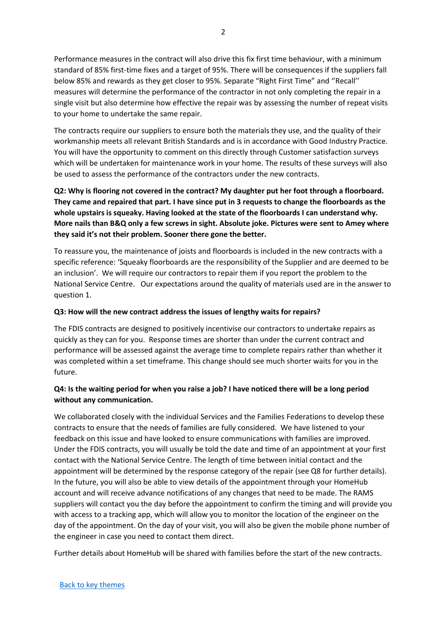Performance measures in the contract will also drive this fix first time behaviour, with a minimum standard of 85% first-time fixes and a target of 95%. There will be consequences if the suppliers fall below 85% and rewards as they get closer to 95%. Separate "Right First Time" and ''Recall'' measures will determine the performance of the contractor in not only completing the repair in a single visit but also determine how effective the repair was by assessing the number of repeat visits to your home to undertake the same repair.

The contracts require our suppliers to ensure both the materials they use, and the quality of their workmanship meets all relevant British Standards and is in accordance with Good Industry Practice. You will have the opportunity to comment on this directly through Customer satisfaction surveys which will be undertaken for maintenance work in your home. The results of these surveys will also be used to assess the performance of the contractors under the new contracts.

# **Q2: Why is flooring not covered in the contract? My daughter put her foot through a floorboard. They came and repaired that part. I have since put in 3 requests to change the floorboards as the whole upstairs is squeaky. Having looked at the state of the floorboards I can understand why. More nails than B&Q only a few screws in sight. Absolute joke. Pictures were sent to Amey where they said it's not their problem. Sooner there gone the better.**

To reassure you, the maintenance of joists and floorboards is included in the new contracts with a specific reference: 'Squeaky floorboards are the responsibility of the Supplier and are deemed to be an inclusion'. We will require our contractors to repair them if you report the problem to the National Service Centre. Our expectations around the quality of materials used are in the answer to question 1.

#### **Q3: How will the new contract address the issues of lengthy waits for repairs?**

The FDIS contracts are designed to positively incentivise our contractors to undertake repairs as quickly as they can for you. Response times are shorter than under the current contract and performance will be assessed against the average time to complete repairs rather than whether it was completed within a set timeframe. This change should see much shorter waits for you in the future.

# **Q4: Is the waiting period for when you raise a job? I have noticed there will be a long period without any communication.**

We collaborated closely with the individual Services and the Families Federations to develop these contracts to ensure that the needs of families are fully considered. We have listened to your feedback on this issue and have looked to ensure communications with families are improved. Under the FDIS contracts, you will usually be told the date and time of an appointment at your first contact with the National Service Centre. The length of time between initial contact and the appointment will be determined by the response category of the repair (see Q8 for further details). In the future, you will also be able to view details of the appointment through your HomeHub account and will receive advance notifications of any changes that need to be made. The RAMS suppliers will contact you the day before the appointment to confirm the timing and will provide you with access to a tracking app, which will allow you to monitor the location of the engineer on the day of the appointment. On the day of your visit, you will also be given the mobile phone number of the engineer in case you need to contact them direct.

Further details about HomeHub will be shared with families before the start of the new contracts.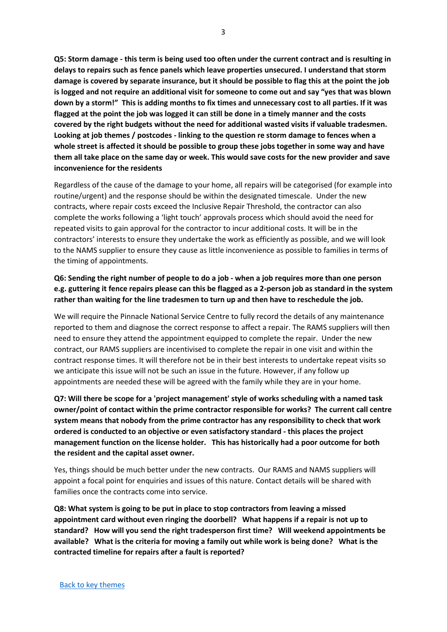**Q5: Storm damage - this term is being used too often under the current contract and is resulting in delays to repairs such as fence panels which leave properties unsecured. I understand that storm damage is covered by separate insurance, but it should be possible to flag this at the point the job is logged and not require an additional visit for someone to come out and say "yes that was blown down by a storm!" This is adding months to fix times and unnecessary cost to all parties. If it was flagged at the point the job was logged it can still be done in a timely manner and the costs covered by the right budgets without the need for additional wasted visits if valuable tradesmen. Looking at job themes / postcodes - linking to the question re storm damage to fences when a whole street is affected it should be possible to group these jobs together in some way and have them all take place on the same day or week. This would save costs for the new provider and save inconvenience for the residents**

Regardless of the cause of the damage to your home, all repairs will be categorised (for example into routine/urgent) and the response should be within the designated timescale. Under the new contracts, where repair costs exceed the Inclusive Repair Threshold, the contractor can also complete the works following a 'light touch' approvals process which should avoid the need for repeated visits to gain approval for the contractor to incur additional costs. It will be in the contractors' interests to ensure they undertake the work as efficiently as possible, and we will look to the NAMS supplier to ensure they cause as little inconvenience as possible to families in terms of the timing of appointments.

## **Q6: Sending the right number of people to do a job - when a job requires more than one person e.g. guttering it fence repairs please can this be flagged as a 2-person job as standard in the system rather than waiting for the line tradesmen to turn up and then have to reschedule the job.**

We will require the Pinnacle National Service Centre to fully record the details of any maintenance reported to them and diagnose the correct response to affect a repair. The RAMS suppliers will then need to ensure they attend the appointment equipped to complete the repair. Under the new contract, our RAMS suppliers are incentivised to complete the repair in one visit and within the contract response times. It will therefore not be in their best interests to undertake repeat visits so we anticipate this issue will not be such an issue in the future. However, if any follow up appointments are needed these will be agreed with the family while they are in your home.

**Q7: Will there be scope for a 'project management' style of works scheduling with a named task owner/point of contact within the prime contractor responsible for works? The current call centre system means that nobody from the prime contractor has any responsibility to check that work ordered is conducted to an objective or even satisfactory standard - this places the project management function on the license holder. This has historically had a poor outcome for both the resident and the capital asset owner.**

Yes, things should be much better under the new contracts. Our RAMS and NAMS suppliers will appoint a focal point for enquiries and issues of this nature. Contact details will be shared with families once the contracts come into service.

**Q8: What system is going to be put in place to stop contractors from leaving a missed appointment card without even ringing the doorbell? What happens if a repair is not up to standard? How will you send the right tradesperson first time? Will weekend appointments be available? What is the criteria for moving a family out while work is being done? What is the contracted timeline for repairs after a fault is reported?**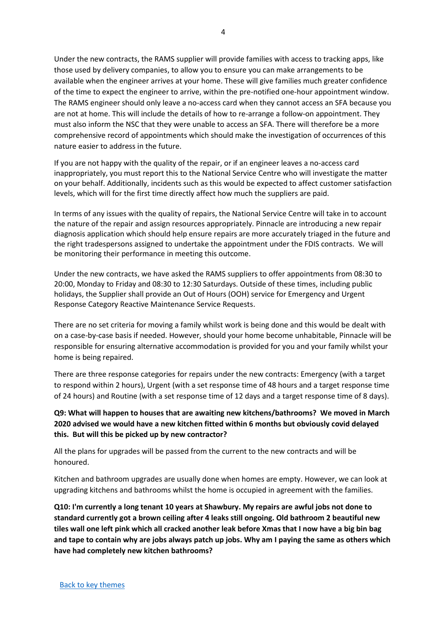Under the new contracts, the RAMS supplier will provide families with access to tracking apps, like those used by delivery companies, to allow you to ensure you can make arrangements to be available when the engineer arrives at your home. These will give families much greater confidence of the time to expect the engineer to arrive, within the pre-notified one-hour appointment window. The RAMS engineer should only leave a no-access card when they cannot access an SFA because you are not at home. This will include the details of how to re-arrange a follow-on appointment. They must also inform the NSC that they were unable to access an SFA. There will therefore be a more comprehensive record of appointments which should make the investigation of occurrences of this nature easier to address in the future.

If you are not happy with the quality of the repair, or if an engineer leaves a no-access card inappropriately, you must report this to the National Service Centre who will investigate the matter on your behalf. Additionally, incidents such as this would be expected to affect customer satisfaction levels, which will for the first time directly affect how much the suppliers are paid.

In terms of any issues with the quality of repairs, the National Service Centre will take in to account the nature of the repair and assign resources appropriately. Pinnacle are introducing a new repair diagnosis application which should help ensure repairs are more accurately triaged in the future and the right tradespersons assigned to undertake the appointment under the FDIS contracts. We will be monitoring their performance in meeting this outcome.

Under the new contracts, we have asked the RAMS suppliers to offer appointments from 08:30 to 20:00, Monday to Friday and 08:30 to 12:30 Saturdays. Outside of these times, including public holidays, the Supplier shall provide an Out of Hours (OOH) service for Emergency and Urgent Response Category Reactive Maintenance Service Requests.

There are no set criteria for moving a family whilst work is being done and this would be dealt with on a case-by-case basis if needed. However, should your home become unhabitable, Pinnacle will be responsible for ensuring alternative accommodation is provided for you and your family whilst your home is being repaired.

There are three response categories for repairs under the new contracts: Emergency (with a target to respond within 2 hours), Urgent (with a set response time of 48 hours and a target response time of 24 hours) and Routine (with a set response time of 12 days and a target response time of 8 days).

**Q9: What will happen to houses that are awaiting new kitchens/bathrooms? We moved in March 2020 advised we would have a new kitchen fitted within 6 months but obviously covid delayed this. But will this be picked up by new contractor?**

All the plans for upgrades will be passed from the current to the new contracts and will be honoured.

Kitchen and bathroom upgrades are usually done when homes are empty. However, we can look at upgrading kitchens and bathrooms whilst the home is occupied in agreement with the families.

**Q10: I'm currently a long tenant 10 years at Shawbury. My repairs are awful jobs not done to standard currently got a brown ceiling after 4 leaks still ongoing. Old bathroom 2 beautiful new tiles wall one left pink which all cracked another leak before Xmas that I now have a big bin bag and tape to contain why are jobs always patch up jobs. Why am I paying the same as others which have had completely new kitchen bathrooms?**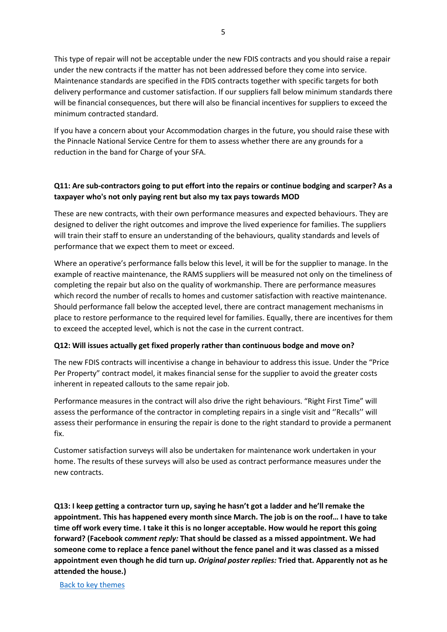This type of repair will not be acceptable under the new FDIS contracts and you should raise a repair under the new contracts if the matter has not been addressed before they come into service. Maintenance standards are specified in the FDIS contracts together with specific targets for both delivery performance and customer satisfaction. If our suppliers fall below minimum standards there will be financial consequences, but there will also be financial incentives for suppliers to exceed the minimum contracted standard.

If you have a concern about your Accommodation charges in the future, you should raise these with the Pinnacle National Service Centre for them to assess whether there are any grounds for a reduction in the band for Charge of your SFA.

# **Q11: Are sub-contractors going to put effort into the repairs or continue bodging and scarper? As a taxpayer who's not only paying rent but also my tax pays towards MOD**

These are new contracts, with their own performance measures and expected behaviours. They are designed to deliver the right outcomes and improve the lived experience for families. The suppliers will train their staff to ensure an understanding of the behaviours, quality standards and levels of performance that we expect them to meet or exceed.

Where an operative's performance falls below this level, it will be for the supplier to manage. In the example of reactive maintenance, the RAMS suppliers will be measured not only on the timeliness of completing the repair but also on the quality of workmanship. There are performance measures which record the number of recalls to homes and customer satisfaction with reactive maintenance. Should performance fall below the accepted level, there are contract management mechanisms in place to restore performance to the required level for families. Equally, there are incentives for them to exceed the accepted level, which is not the case in the current contract.

#### **Q12: Will issues actually get fixed properly rather than continuous bodge and move on?**

The new FDIS contracts will incentivise a change in behaviour to address this issue. Under the "Price Per Property" contract model, it makes financial sense for the supplier to avoid the greater costs inherent in repeated callouts to the same repair job.

Performance measures in the contract will also drive the right behaviours. "Right First Time" will assess the performance of the contractor in completing repairs in a single visit and ''Recalls'' will assess their performance in ensuring the repair is done to the right standard to provide a permanent fix.

Customer satisfaction surveys will also be undertaken for maintenance work undertaken in your home. The results of these surveys will also be used as contract performance measures under the new contracts.

**Q13: I keep getting a contractor turn up, saying he hasn't got a ladder and he'll remake the appointment. This has happened every month since March. The job is on the roof… I have to take time off work every time. I take it this is no longer acceptable. How would he report this going forward? (Facebook c***omment reply:* **That should be classed as a missed appointment. We had someone come to replace a fence panel without the fence panel and it was classed as a missed appointment even though he did turn up.** *Original poster replies:* **Tried that. Apparently not as he attended the house.)**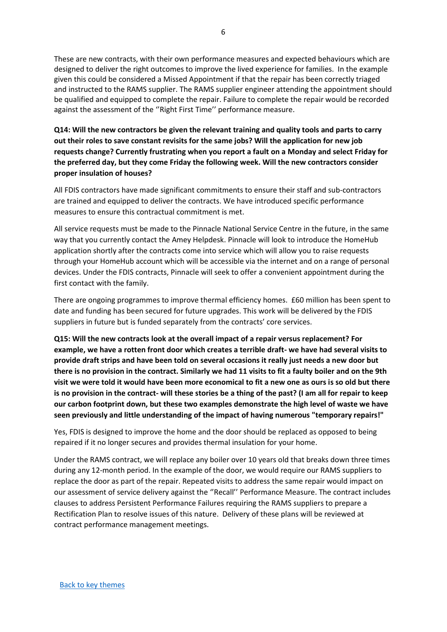These are new contracts, with their own performance measures and expected behaviours which are designed to deliver the right outcomes to improve the lived experience for families. In the example given this could be considered a Missed Appointment if that the repair has been correctly triaged and instructed to the RAMS supplier. The RAMS supplier engineer attending the appointment should be qualified and equipped to complete the repair. Failure to complete the repair would be recorded against the assessment of the ''Right First Time'' performance measure.

**Q14: Will the new contractors be given the relevant training and quality tools and parts to carry out their roles to save constant revisits for the same jobs? Will the application for new job requests change? Currently frustrating when you report a fault on a Monday and select Friday for the preferred day, but they come Friday the following week. Will the new contractors consider proper insulation of houses?** 

All FDIS contractors have made significant commitments to ensure their staff and sub-contractors are trained and equipped to deliver the contracts. We have introduced specific performance measures to ensure this contractual commitment is met.

All service requests must be made to the Pinnacle National Service Centre in the future, in the same way that you currently contact the Amey Helpdesk. Pinnacle will look to introduce the HomeHub application shortly after the contracts come into service which will allow you to raise requests through your HomeHub account which will be accessible via the internet and on a range of personal devices. Under the FDIS contracts, Pinnacle will seek to offer a convenient appointment during the first contact with the family.

There are ongoing programmes to improve thermal efficiency homes. £60 million has been spent to date and funding has been secured for future upgrades. This work will be delivered by the FDIS suppliers in future but is funded separately from the contracts' core services.

**Q15: Will the new contracts look at the overall impact of a repair versus replacement? For example, we have a rotten front door which creates a terrible draft- we have had several visits to provide draft strips and have been told on several occasions it really just needs a new door but there is no provision in the contract. Similarly we had 11 visits to fit a faulty boiler and on the 9th visit we were told it would have been more economical to fit a new one as ours is so old but there is no provision in the contract- will these stories be a thing of the past? (I am all for repair to keep our carbon footprint down, but these two examples demonstrate the high level of waste we have seen previously and little understanding of the impact of having numerous "temporary repairs!"**

Yes, FDIS is designed to improve the home and the door should be replaced as opposed to being repaired if it no longer secures and provides thermal insulation for your home.

Under the RAMS contract, we will replace any boiler over 10 years old that breaks down three times during any 12-month period. In the example of the door, we would require our RAMS suppliers to replace the door as part of the repair. Repeated visits to address the same repair would impact on our assessment of service delivery against the ''Recall'' Performance Measure. The contract includes clauses to address Persistent Performance Failures requiring the RAMS suppliers to prepare a Rectification Plan to resolve issues of this nature. Delivery of these plans will be reviewed at contract performance management meetings.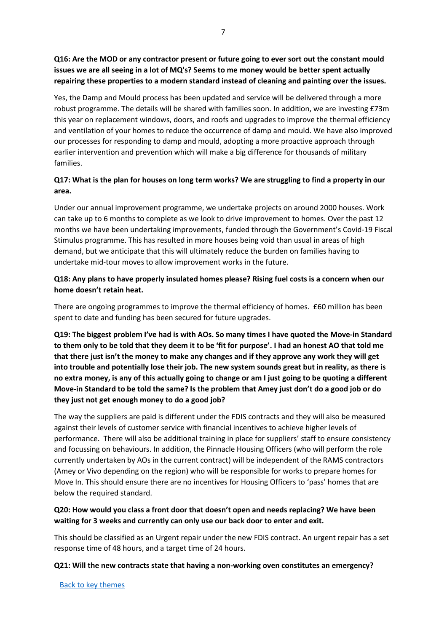**Q16: Are the MOD or any contractor present or future going to ever sort out the constant mould issues we are all seeing in a lot of MQ's? Seems to me money would be better spent actually repairing these properties to a modern standard instead of cleaning and painting over the issues.**

Yes, the Damp and Mould process has been updated and service will be delivered through a more robust programme. The details will be shared with families soon. In addition, we are investing £73m this year on replacement windows, doors, and roofs and upgrades to improve the thermal efficiency and ventilation of your homes to reduce the occurrence of damp and mould. We have also improved our processes for responding to damp and mould, adopting a more proactive approach through earlier intervention and prevention which will make a big difference for thousands of military families.

## **Q17: What is the plan for houses on long term works? We are struggling to find a property in our area.**

Under our annual improvement programme, we undertake projects on around 2000 houses. Work can take up to 6 months to complete as we look to drive improvement to homes. Over the past 12 months we have been undertaking improvements, funded through the Government's Covid-19 Fiscal Stimulus programme. This has resulted in more houses being void than usual in areas of high demand, but we anticipate that this will ultimately reduce the burden on families having to undertake mid-tour moves to allow improvement works in the future.

## **Q18: Any plans to have properly insulated homes please? Rising fuel costs is a concern when our home doesn't retain heat.**

There are ongoing programmes to improve the thermal efficiency of homes. £60 million has been spent to date and funding has been secured for future upgrades.

**Q19: The biggest problem I've had is with AOs. So many times I have quoted the Move-in Standard to them only to be told that they deem it to be 'fit for purpose'. I had an honest AO that told me that there just isn't the money to make any changes and if they approve any work they will get into trouble and potentially lose their job. The new system sounds great but in reality, as there is no extra money, is any of this actually going to change or am I just going to be quoting a different Move-in Standard to be told the same? Is the problem that Amey just don't do a good job or do they just not get enough money to do a good job?**

The way the suppliers are paid is different under the FDIS contracts and they will also be measured against their levels of customer service with financial incentives to achieve higher levels of performance. There will also be additional training in place for suppliers' staff to ensure consistency and focussing on behaviours. In addition, the Pinnacle Housing Officers (who will perform the role currently undertaken by AOs in the current contract) will be independent of the RAMS contractors (Amey or Vivo depending on the region) who will be responsible for works to prepare homes for Move In. This should ensure there are no incentives for Housing Officers to 'pass' homes that are below the required standard.

### **Q20: How would you class a front door that doesn't open and needs replacing? We have been waiting for 3 weeks and currently can only use our back door to enter and exit.**

This should be classified as an Urgent repair under the new FDIS contract. An urgent repair has a set response time of 48 hours, and a target time of 24 hours.

#### **Q21: Will the new contracts state that having a non-working oven constitutes an emergency?**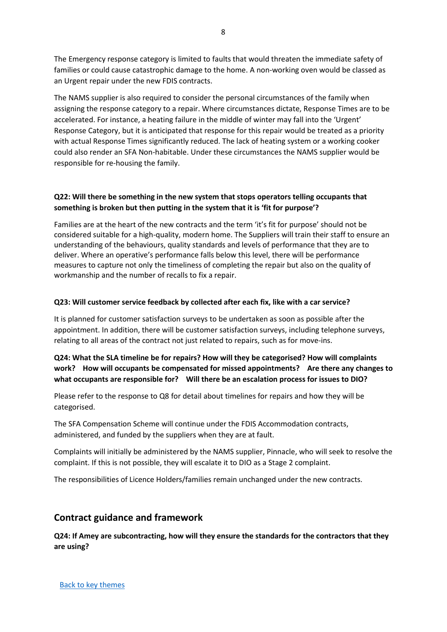The Emergency response category is limited to faults that would threaten the immediate safety of families or could cause catastrophic damage to the home. A non-working oven would be classed as an Urgent repair under the new FDIS contracts.

The NAMS supplier is also required to consider the personal circumstances of the family when assigning the response category to a repair. Where circumstances dictate, Response Times are to be accelerated. For instance, a heating failure in the middle of winter may fall into the 'Urgent' Response Category, but it is anticipated that response for this repair would be treated as a priority with actual Response Times significantly reduced. The lack of heating system or a working cooker could also render an SFA Non-habitable. Under these circumstances the NAMS supplier would be responsible for re-housing the family.

## **Q22: Will there be something in the new system that stops operators telling occupants that something is broken but then putting in the system that it is 'fit for purpose'?**

Families are at the heart of the new contracts and the term 'it's fit for purpose' should not be considered suitable for a high-quality, modern home. The Suppliers will train their staff to ensure an understanding of the behaviours, quality standards and levels of performance that they are to deliver. Where an operative's performance falls below this level, there will be performance measures to capture not only the timeliness of completing the repair but also on the quality of workmanship and the number of recalls to fix a repair.

#### **Q23: Will customer service feedback by collected after each fix, like with a car service?**

It is planned for customer satisfaction surveys to be undertaken as soon as possible after the appointment. In addition, there will be customer satisfaction surveys, including telephone surveys, relating to all areas of the contract not just related to repairs, such as for move-ins.

# **Q24: What the SLA timeline be for repairs? How will they be categorised? How will complaints work? How will occupants be compensated for missed appointments? Are there any changes to what occupants are responsible for? Will there be an escalation process for issues to DIO?**

Please refer to the response to Q8 for detail about timelines for repairs and how they will be categorised.

The SFA Compensation Scheme will continue under the FDIS Accommodation contracts, administered, and funded by the suppliers when they are at fault.

Complaints will initially be administered by the NAMS supplier, Pinnacle, who will seek to resolve the complaint. If this is not possible, they will escalate it to DIO as a Stage 2 complaint.

The responsibilities of Licence Holders/families remain unchanged under the new contracts.

# <span id="page-7-0"></span>**Contract guidance and framework**

**Q24: If Amey are subcontracting, how will they ensure the standards for the contractors that they are using?**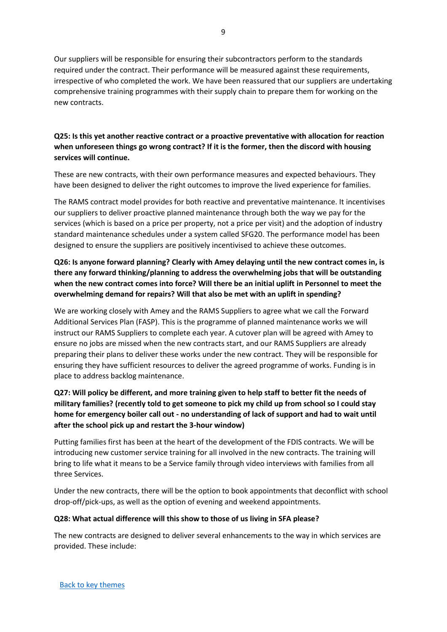9

Our suppliers will be responsible for ensuring their subcontractors perform to the standards required under the contract. Their performance will be measured against these requirements, irrespective of who completed the work. We have been reassured that our suppliers are undertaking comprehensive training programmes with their supply chain to prepare them for working on the new contracts.

# **Q25: Is this yet another reactive contract or a proactive preventative with allocation for reaction when unforeseen things go wrong contract? If it is the former, then the discord with housing services will continue.**

These are new contracts, with their own performance measures and expected behaviours. They have been designed to deliver the right outcomes to improve the lived experience for families.

The RAMS contract model provides for both reactive and preventative maintenance. It incentivises our suppliers to deliver proactive planned maintenance through both the way we pay for the services (which is based on a price per property, not a price per visit) and the adoption of industry standard maintenance schedules under a system called SFG20. The performance model has been designed to ensure the suppliers are positively incentivised to achieve these outcomes.

# **Q26: Is anyone forward planning? Clearly with Amey delaying until the new contract comes in, is there any forward thinking/planning to address the overwhelming jobs that will be outstanding when the new contract comes into force? Will there be an initial uplift in Personnel to meet the overwhelming demand for repairs? Will that also be met with an uplift in spending?**

We are working closely with Amey and the RAMS Suppliers to agree what we call the Forward Additional Services Plan (FASP). This is the programme of planned maintenance works we will instruct our RAMS Suppliers to complete each year. A cutover plan will be agreed with Amey to ensure no jobs are missed when the new contracts start, and our RAMS Suppliers are already preparing their plans to deliver these works under the new contract. They will be responsible for ensuring they have sufficient resources to deliver the agreed programme of works. Funding is in place to address backlog maintenance.

# **Q27: Will policy be different, and more training given to help staff to better fit the needs of military families? (recently told to get someone to pick my child up from school so I could stay home for emergency boiler call out - no understanding of lack of support and had to wait until after the school pick up and restart the 3-hour window)**

Putting families first has been at the heart of the development of the FDIS contracts. We will be introducing new customer service training for all involved in the new contracts. The training will bring to life what it means to be a Service family through video interviews with families from all three Services.

Under the new contracts, there will be the option to book appointments that deconflict with school drop-off/pick-ups, as well as the option of evening and weekend appointments.

### **Q28: What actual difference will this show to those of us living in SFA please?**

The new contracts are designed to deliver several enhancements to the way in which services are provided. These include: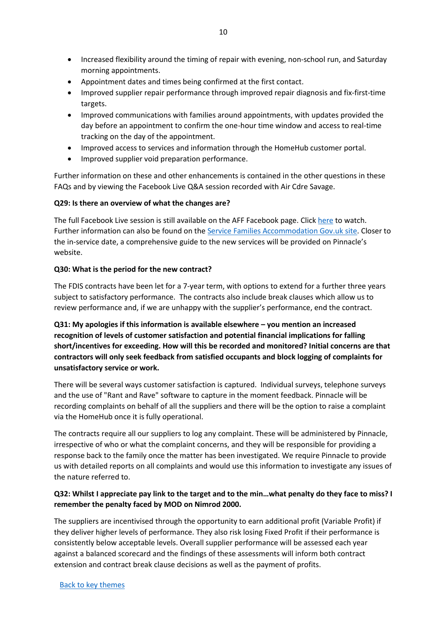- Increased flexibility around the timing of repair with evening, non-school run, and Saturday morning appointments.
- Appointment dates and times being confirmed at the first contact.
- Improved supplier repair performance through improved repair diagnosis and fix-first-time targets.
- Improved communications with families around appointments, with updates provided the day before an appointment to confirm the one-hour time window and access to real-time tracking on the day of the appointment.
- Improved access to services and information through the HomeHub customer portal.
- Improved supplier void preparation performance.

Further information on these and other enhancements is contained in the other questions in these FAQs and by viewing the Facebook Live Q&A session recorded with Air Cdre Savage.

#### **Q29: Is there an overview of what the changes are?**

The full Facebook Live session is still available on the AFF Facebook page. Clic[k here](https://gbr01.safelinks.protection.outlook.com/?url=https%3A%2F%2Ffb.me%2Fe%2F2LgGSI5CW&data=04%7C01%7CCaroline.Mayne101%40mod.gov.uk%7C439892dcd9144990d98908d9d5afe573%7Cbe7760ed5953484bae95d0a16dfa09e5%7C0%7C0%7C637775773701236599%7CUnknown%7CTWFpbGZsb3d8eyJWIjoiMC4wLjAwMDAiLCJQIjoiV2luMzIiLCJBTiI6Ik1haWwiLCJXVCI6Mn0%3D%7C3000&sdata=FaH3fwH0KJn%2BCmk8GBoXXWiEKqR%2FwJfVe6DFsDyA4Is%3D&reserved=0) to watch. Further information can also be found on the [Service Families Accommodation Gov.uk site.](https://www.gov.uk/guidance/defence-infrastructure-organisation-service-family-accommodation#future-defence-infrastructure-services-fdis) Closer to the in-service date, a comprehensive guide to the new services will be provided on Pinnacle's website.

#### **Q30: What is the period for the new contract?**

The FDIS contracts have been let for a 7-year term, with options to extend for a further three years subject to satisfactory performance. The contracts also include break clauses which allow us to review performance and, if we are unhappy with the supplier's performance, end the contract.

**Q31: My apologies if this information is available elsewhere – you mention an increased recognition of levels of customer satisfaction and potential financial implications for falling short/incentives for exceeding. How will this be recorded and monitored? Initial concerns are that contractors will only seek feedback from satisfied occupants and block logging of complaints for unsatisfactory service or work.**

There will be several ways customer satisfaction is captured. Individual surveys, telephone surveys and the use of "Rant and Rave" software to capture in the moment feedback. Pinnacle will be recording complaints on behalf of all the suppliers and there will be the option to raise a complaint via the HomeHub once it is fully operational.

The contracts require all our suppliers to log any complaint. These will be administered by Pinnacle, irrespective of who or what the complaint concerns, and they will be responsible for providing a response back to the family once the matter has been investigated. We require Pinnacle to provide us with detailed reports on all complaints and would use this information to investigate any issues of the nature referred to.

### **Q32: Whilst I appreciate pay link to the target and to the min…what penalty do they face to miss? I remember the penalty faced by MOD on Nimrod 2000.**

The suppliers are incentivised through the opportunity to earn additional profit (Variable Profit) if they deliver higher levels of performance. They also risk losing Fixed Profit if their performance is consistently below acceptable levels. Overall supplier performance will be assessed each year against a balanced scorecard and the findings of these assessments will inform both contract extension and contract break clause decisions as well as the payment of profits.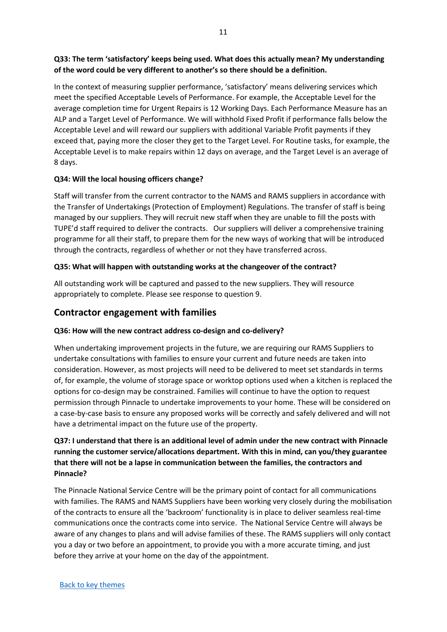# **Q33: The term 'satisfactory' keeps being used. What does this actually mean? My understanding of the word could be very different to another's so there should be a definition.**

In the context of measuring supplier performance, 'satisfactory' means delivering services which meet the specified Acceptable Levels of Performance. For example, the Acceptable Level for the average completion time for Urgent Repairs is 12 Working Days. Each Performance Measure has an ALP and a Target Level of Performance. We will withhold Fixed Profit if performance falls below the Acceptable Level and will reward our suppliers with additional Variable Profit payments if they exceed that, paying more the closer they get to the Target Level. For Routine tasks, for example, the Acceptable Level is to make repairs within 12 days on average, and the Target Level is an average of 8 days.

### **Q34: Will the local housing officers change?**

Staff will transfer from the current contractor to the NAMS and RAMS suppliers in accordance with the Transfer of Undertakings (Protection of Employment) Regulations. The transfer of staff is being managed by our suppliers. They will recruit new staff when they are unable to fill the posts with TUPE'd staff required to deliver the contracts. Our suppliers will deliver a comprehensive training programme for all their staff, to prepare them for the new ways of working that will be introduced through the contracts, regardless of whether or not they have transferred across.

# **Q35: What will happen with outstanding works at the changeover of the contract?**

All outstanding work will be captured and passed to the new suppliers. They will resource appropriately to complete. Please see response to question 9.

# <span id="page-10-0"></span>**Contractor engagement with families**

# **Q36: How will the new contract address co-design and co-delivery?**

When undertaking improvement projects in the future, we are requiring our RAMS Suppliers to undertake consultations with families to ensure your current and future needs are taken into consideration. However, as most projects will need to be delivered to meet set standards in terms of, for example, the volume of storage space or worktop options used when a kitchen is replaced the options for co-design may be constrained. Families will continue to have the option to request permission through Pinnacle to undertake improvements to your home. These will be considered on a case-by-case basis to ensure any proposed works will be correctly and safely delivered and will not have a detrimental impact on the future use of the property.

# **Q37: I understand that there is an additional level of admin under the new contract with Pinnacle running the customer service/allocations department. With this in mind, can you/they guarantee that there will not be a lapse in communication between the families, the contractors and Pinnacle?**

The Pinnacle National Service Centre will be the primary point of contact for all communications with families. The RAMS and NAMS Suppliers have been working very closely during the mobilisation of the contracts to ensure all the 'backroom' functionality is in place to deliver seamless real-time communications once the contracts come into service. The National Service Centre will always be aware of any changes to plans and will advise families of these. The RAMS suppliers will only contact you a day or two before an appointment, to provide you with a more accurate timing, and just before they arrive at your home on the day of the appointment.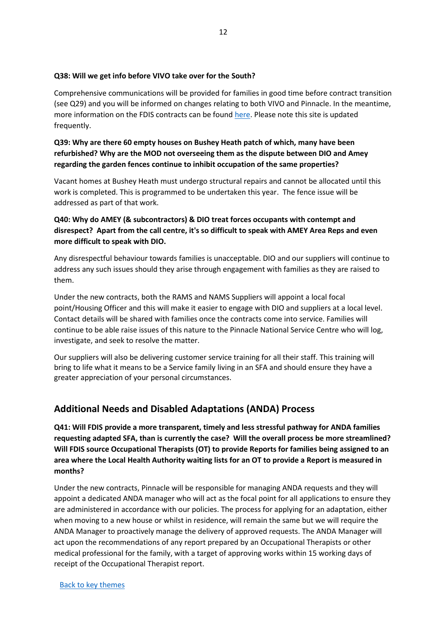#### **Q38: Will we get info before VIVO take over for the South?**

Comprehensive communications will be provided for families in good time before contract transition (see Q29) and you will be informed on changes relating to both VIVO and Pinnacle. In the meantime, more information on the FDIS contracts can be found [here.](https://www.gov.uk/guidance/defence-infrastructure-organisation-service-family-accommodation#future-defence-infrastructure-services-fdis) Please note this site is updated frequently.

**Q39: Why are there 60 empty houses on Bushey Heath patch of which, many have been refurbished? Why are the MOD not overseeing them as the dispute between DIO and Amey regarding the garden fences continue to inhibit occupation of the same properties?**

Vacant homes at Bushey Heath must undergo structural repairs and cannot be allocated until this work is completed. This is programmed to be undertaken this year. The fence issue will be addressed as part of that work.

# **Q40: Why do AMEY (& subcontractors) & DIO treat forces occupants with contempt and disrespect? Apart from the call centre, it's so difficult to speak with AMEY Area Reps and even more difficult to speak with DIO.**

Any disrespectful behaviour towards families is unacceptable. DIO and our suppliers will continue to address any such issues should they arise through engagement with families as they are raised to them.

Under the new contracts, both the RAMS and NAMS Suppliers will appoint a local focal point/Housing Officer and this will make it easier to engage with DIO and suppliers at a local level. Contact details will be shared with families once the contracts come into service. Families will continue to be able raise issues of this nature to the Pinnacle National Service Centre who will log, investigate, and seek to resolve the matter.

Our suppliers will also be delivering customer service training for all their staff. This training will bring to life what it means to be a Service family living in an SFA and should ensure they have a greater appreciation of your personal circumstances.

# <span id="page-11-0"></span>**Additional Needs and Disabled Adaptations (ANDA) Process**

**Q41: Will FDIS provide a more transparent, timely and less stressful pathway for ANDA families requesting adapted SFA, than is currently the case? Will the overall process be more streamlined? Will FDIS source Occupational Therapists (OT) to provide Reports for families being assigned to an area where the Local Health Authority waiting lists for an OT to provide a Report is measured in months?**

Under the new contracts, Pinnacle will be responsible for managing ANDA requests and they will appoint a dedicated ANDA manager who will act as the focal point for all applications to ensure they are administered in accordance with our policies. The process for applying for an adaptation, either when moving to a new house or whilst in residence, will remain the same but we will require the ANDA Manager to proactively manage the delivery of approved requests. The ANDA Manager will act upon the recommendations of any report prepared by an Occupational Therapists or other medical professional for the family, with a target of approving works within 15 working days of receipt of the Occupational Therapist report.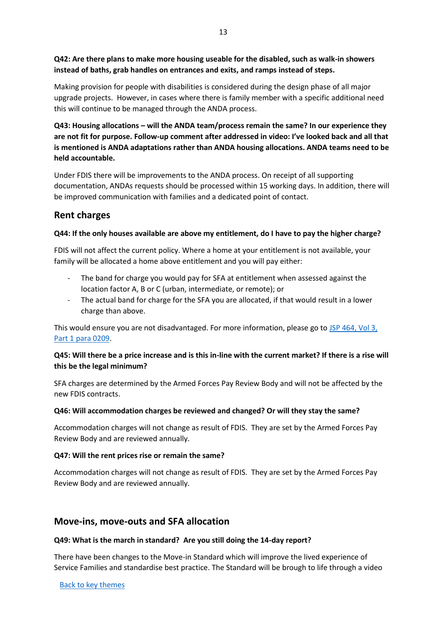**Q42: Are there plans to make more housing useable for the disabled, such as walk-in showers instead of baths, grab handles on entrances and exits, and ramps instead of steps.**

Making provision for people with disabilities is considered during the design phase of all major upgrade projects. However, in cases where there is family member with a specific additional need this will continue to be managed through the ANDA process.

**Q43: Housing allocations – will the ANDA team/process remain the same? In our experience they are not fit for purpose. Follow-up comment after addressed in video: I've looked back and all that is mentioned is ANDA adaptations rather than ANDA housing allocations. ANDA teams need to be held accountable.**

Under FDIS there will be improvements to the ANDA process. On receipt of all supporting documentation, ANDAs requests should be processed within 15 working days. In addition, there will be improved communication with families and a dedicated point of contact.

# <span id="page-12-0"></span>**Rent charges**

#### **Q44: If the only houses available are above my entitlement, do I have to pay the higher charge?**

FDIS will not affect the current policy. Where a home at your entitlement is not available, your family will be allocated a home above entitlement and you will pay either:

- The band for charge you would pay for SFA at entitlement when assessed against the location factor A, B or C (urban, intermediate, or remote); or
- The actual band for charge for the SFA you are allocated, if that would result in a lower charge than above.

This would ensure you are not disadvantaged. For more information, please go t[o JSP 464, Vol 3,](https://assets.publishing.service.gov.uk/government/uploads/system/uploads/attachment_data/file/1030934/20211101-JSP_464_Volume_3-Part_1-Version-18.pdf)  [Part 1 para 0209.](https://assets.publishing.service.gov.uk/government/uploads/system/uploads/attachment_data/file/1030934/20211101-JSP_464_Volume_3-Part_1-Version-18.pdf)

### **Q45: Will there be a price increase and is this in-line with the current market? If there is a rise will this be the legal minimum?**

SFA charges are determined by the Armed Forces Pay Review Body and will not be affected by the new FDIS contracts.

#### **Q46: Will accommodation charges be reviewed and changed? Or will they stay the same?**

Accommodation charges will not change as result of FDIS. They are set by the Armed Forces Pay Review Body and are reviewed annually.

#### **Q47: Will the rent prices rise or remain the same?**

Accommodation charges will not change as result of FDIS. They are set by the Armed Forces Pay Review Body and are reviewed annually.

# <span id="page-12-1"></span>**Move-ins, move-outs and SFA allocation**

#### **Q49: What is the march in standard? Are you still doing the 14-day report?**

There have been changes to the Move-in Standard which will improve the lived experience of Service Families and standardise best practice. The Standard will be brough to life through a video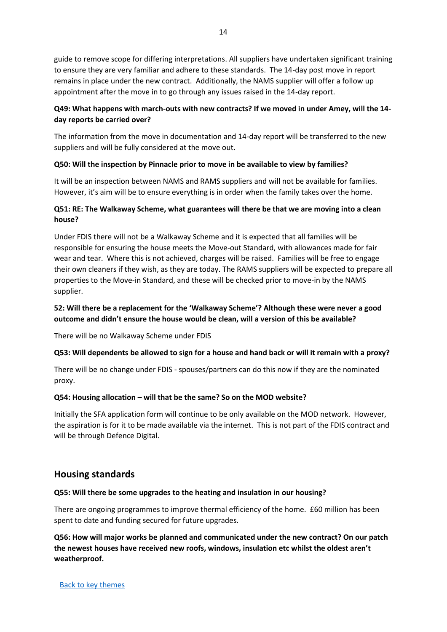guide to remove scope for differing interpretations. All suppliers have undertaken significant training to ensure they are very familiar and adhere to these standards. The 14-day post move in report remains in place under the new contract. Additionally, the NAMS supplier will offer a follow up appointment after the move in to go through any issues raised in the 14-day report.

# **Q49: What happens with march-outs with new contracts? If we moved in under Amey, will the 14 day reports be carried over?**

The information from the move in documentation and 14-day report will be transferred to the new suppliers and will be fully considered at the move out.

#### **Q50: Will the inspection by Pinnacle prior to move in be available to view by families?**

It will be an inspection between NAMS and RAMS suppliers and will not be available for families. However, it's aim will be to ensure everything is in order when the family takes over the home.

# **Q51: RE: The Walkaway Scheme, what guarantees will there be that we are moving into a clean house?**

Under FDIS there will not be a Walkaway Scheme and it is expected that all families will be responsible for ensuring the house meets the Move-out Standard, with allowances made for fair wear and tear. Where this is not achieved, charges will be raised. Families will be free to engage their own cleaners if they wish, as they are today. The RAMS suppliers will be expected to prepare all properties to the Move-in Standard, and these will be checked prior to move-in by the NAMS supplier.

## **52: Will there be a replacement for the 'Walkaway Scheme'? Although these were never a good outcome and didn't ensure the house would be clean, will a version of this be available?**

There will be no Walkaway Scheme under FDIS

### **Q53: Will dependents be allowed to sign for a house and hand back or will it remain with a proxy?**

There will be no change under FDIS - spouses/partners can do this now if they are the nominated proxy.

#### **Q54: Housing allocation – will that be the same? So on the MOD website?**

Initially the SFA application form will continue to be only available on the MOD network. However, the aspiration is for it to be made available via the internet. This is not part of the FDIS contract and will be through Defence Digital.

# <span id="page-13-0"></span>**Housing standards**

#### **Q55: Will there be some upgrades to the heating and insulation in our housing?**

There are ongoing programmes to improve thermal efficiency of the home. £60 million has been spent to date and funding secured for future upgrades.

**Q56: How will major works be planned and communicated under the new contract? On our patch the newest houses have received new roofs, windows, insulation etc whilst the oldest aren't weatherproof.**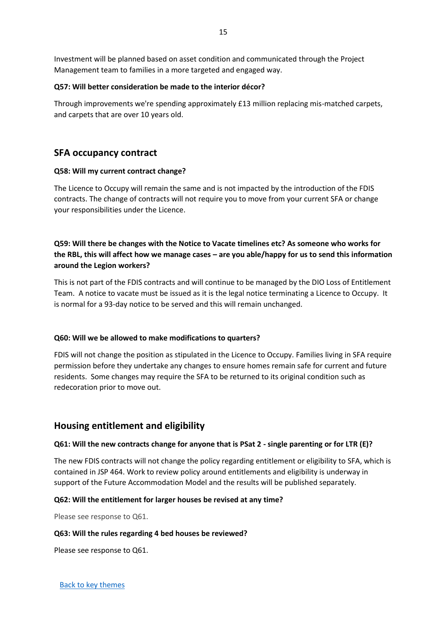Investment will be planned based on asset condition and communicated through the Project Management team to families in a more targeted and engaged way.

#### **Q57: Will better consideration be made to the interior décor?**

Through improvements we're spending approximately £13 million replacing mis-matched carpets, and carpets that are over 10 years old.

# <span id="page-14-0"></span>**SFA occupancy contract**

#### **Q58: Will my current contract change?**

The Licence to Occupy will remain the same and is not impacted by the introduction of the FDIS contracts. The change of contracts will not require you to move from your current SFA or change your responsibilities under the Licence.

# **Q59: Will there be changes with the Notice to Vacate timelines etc? As someone who works for the RBL, this will affect how we manage cases – are you able/happy for us to send this information around the Legion workers?**

This is not part of the FDIS contracts and will continue to be managed by the DIO Loss of Entitlement Team. A notice to vacate must be issued as it is the legal notice terminating a Licence to Occupy. It is normal for a 93-day notice to be served and this will remain unchanged.

#### **Q60: Will we be allowed to make modifications to quarters?**

FDIS will not change the position as stipulated in the Licence to Occupy. Families living in SFA require permission before they undertake any changes to ensure homes remain safe for current and future residents. Some changes may require the SFA to be returned to its original condition such as redecoration prior to move out.

### <span id="page-14-1"></span>**Housing entitlement and eligibility**

#### **Q61: Will the new contracts change for anyone that is PSat 2 - single parenting or for LTR (E)?**

The new FDIS contracts will not change the policy regarding entitlement or eligibility to SFA, which is contained in JSP 464. Work to review policy around entitlements and eligibility is underway in support of the Future Accommodation Model and the results will be published separately.

#### **Q62: Will the entitlement for larger houses be revised at any time?**

Please see response to Q61.

#### **Q63: Will the rules regarding 4 bed houses be reviewed?**

Please see response to Q61.

15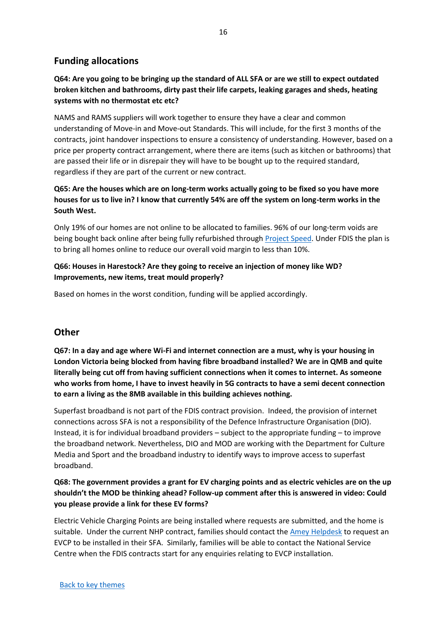# <span id="page-15-0"></span>**Funding allocations**

**Q64: Are you going to be bringing up the standard of ALL SFA or are we still to expect outdated broken kitchen and bathrooms, dirty past their life carpets, leaking garages and sheds, heating systems with no thermostat etc etc?** 

NAMS and RAMS suppliers will work together to ensure they have a clear and common understanding of Move-in and Move-out Standards. This will include, for the first 3 months of the contracts, joint handover inspections to ensure a consistency of understanding. However, based on a price per property contract arrangement, where there are items (such as kitchen or bathrooms) that are passed their life or in disrepair they will have to be bought up to the required standard, regardless if they are part of the current or new contract.

# **Q65: Are the houses which are on long-term works actually going to be fixed so you have more houses for us to live in? I know that currently 54% are off the system on long-term works in the South West.**

Only 19% of our homes are not online to be allocated to families. 96% of our long-term voids are being bought back online after being fully refurbished through [Project Speed.](https://insidedio.blog.gov.uk/tag/fiscal-stimulus/) Under FDIS the plan is to bring all homes online to reduce our overall void margin to less than 10%.

## **Q66: Houses in Harestock? Are they going to receive an injection of money like WD? Improvements, new items, treat mould properly?**

Based on homes in the worst condition, funding will be applied accordingly.

# <span id="page-15-1"></span>**Other**

**Q67: In a day and age where Wi-Fi and internet connection are a must, why is your housing in London Victoria being blocked from having fibre broadband installed? We are in QMB and quite literally being cut off from having sufficient connections when it comes to internet. As someone who works from home, I have to invest heavily in 5G contracts to have a semi decent connection to earn a living as the 8MB available in this building achieves nothing.**

Superfast broadband is not part of the FDIS contract provision. Indeed, the provision of internet connections across SFA is not a responsibility of the Defence Infrastructure Organisation (DIO). Instead, it is for individual broadband providers – subject to the appropriate funding – to improve the broadband network. Nevertheless, DIO and MOD are working with the Department for Culture Media and Sport and the broadband industry to identify ways to improve access to superfast broadband.

## **Q68: The government provides a grant for EV charging points and as electric vehicles are on the up shouldn't the MOD be thinking ahead? Follow-up comment after this is answered in video: Could you please provide a link for these EV forms?**

Electric Vehicle Charging Points are being installed where requests are submitted, and the home is suitable. Under the current NHP contract, families should contact the [Amey Helpdesk](mailto:NHPHelpdesk@ameydefenceservices.co.uk) to request an EVCP to be installed in their SFA. Similarly, families will be able to contact the National Service Centre when the FDIS contracts start for any enquiries relating to EVCP installation.